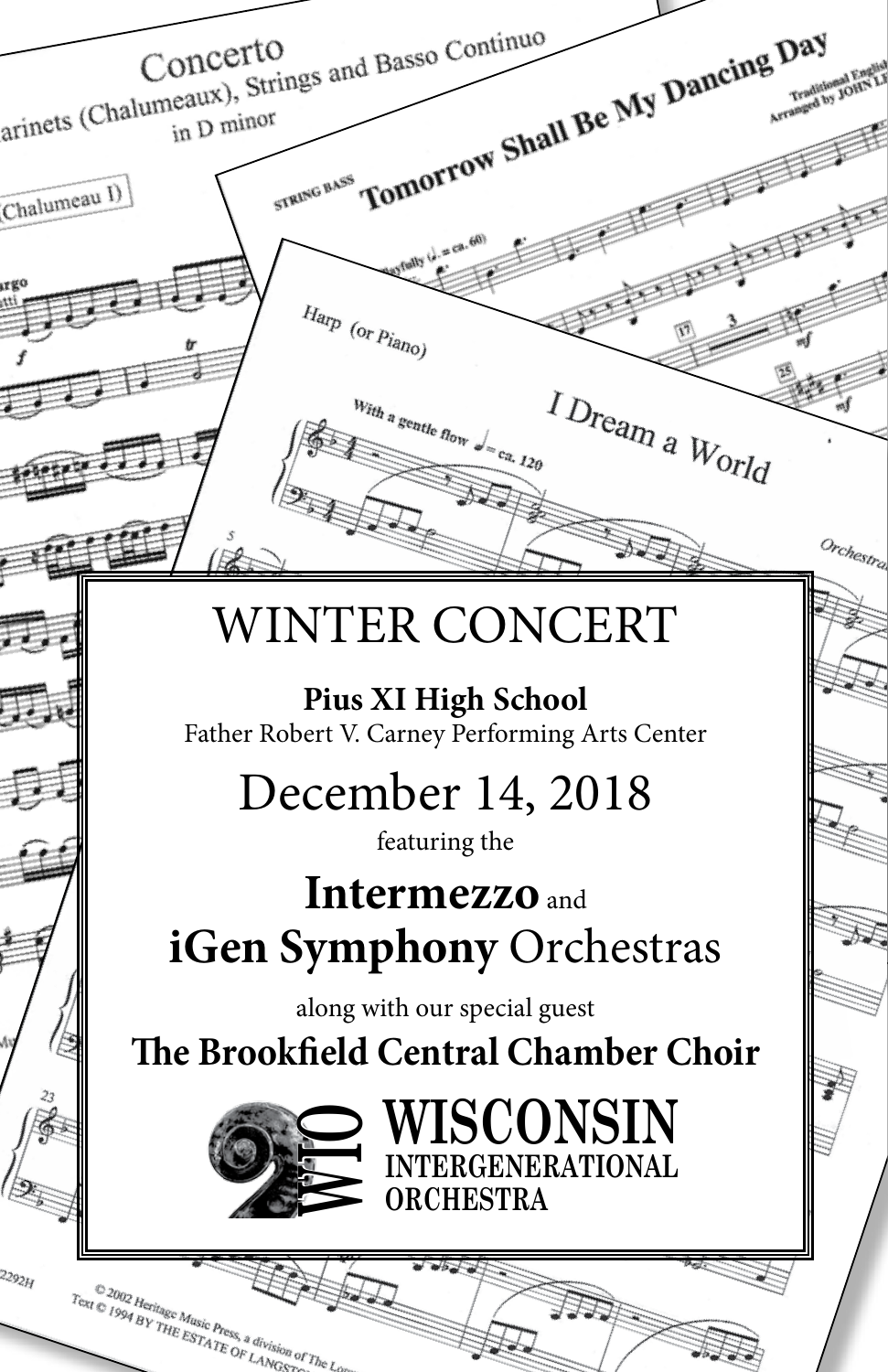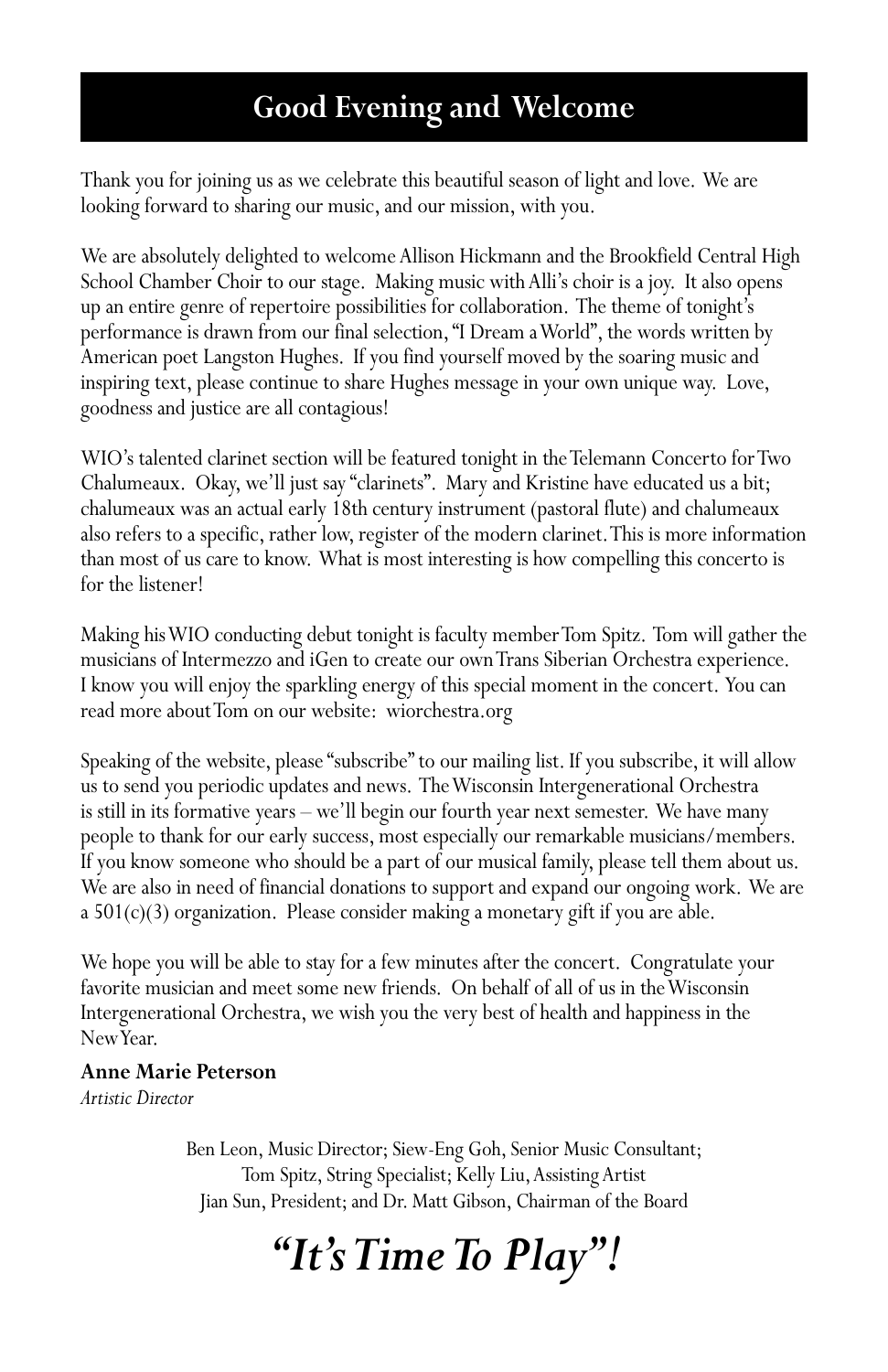# **Good Evening and Welcome**

Thank you for joining us as we celebrate this beautiful season of light and love. We are looking forward to sharing our music, and our mission, with you.

We are absolutely delighted to welcome Allison Hickmann and the Brookfield Central High School Chamber Choir to our stage. Making music with Alli's choir is a joy. It also opens up an entire genre of repertoire possibilities for collaboration. The theme of tonight's performance is drawn from our final selection, "I Dream a World", the words written by American poet Langston Hughes. If you find yourself moved by the soaring music and inspiring text, please continue to share Hughes message in your own unique way. Love, goodness and justice are all contagious!

WIO's talented clarinet section will be featured tonight in the Telemann Concerto for Two Chalumeaux. Okay, we'll just say "clarinets". Mary and Kristine have educated us a bit; chalumeaux was an actual early 18th century instrument (pastoral flute) and chalumeaux also refers to a specific, rather low, register of the modern clarinet. This is more information than most of us care to know. What is most interesting is how compelling this concerto is for the listener!

Making his WIO conducting debut tonight is faculty member Tom Spitz. Tom will gather the musicians of Intermezzo and iGen to create our own Trans Siberian Orchestra experience. I know you will enjoy the sparkling energy of this special moment in the concert. You can read more about Tom on our website: wiorchestra.org

Speaking of the website, please "subscribe" to our mailing list. If you subscribe, it will allow us to send you periodic updates and news. The Wisconsin Intergenerational Orchestra is still in its formative years – we'll begin our fourth year next semester. We have many people to thank for our early success, most especially our remarkable musicians/members. If you know someone who should be a part of our musical family, please tell them about us. We are also in need of financial donations to support and expand our ongoing work. We are a 501(c)(3) organization. Please consider making a monetary gift if you are able.

We hope you will be able to stay for a few minutes after the concert. Congratulate your favorite musician and meet some new friends. On behalf of all of us in the Wisconsin Intergenerational Orchestra, we wish you the very best of health and happiness in the New Year.

#### **Anne Marie Peterson**

*Artistic Director* 

Ben Leon, Music Director; Siew-Eng Goh, Senior Music Consultant; Tom Spitz, String Specialist; Kelly Liu, Assisting Artist Jian Sun, President; and Dr. Matt Gibson, Chairman of the Board

# *"It's Time To Play"!*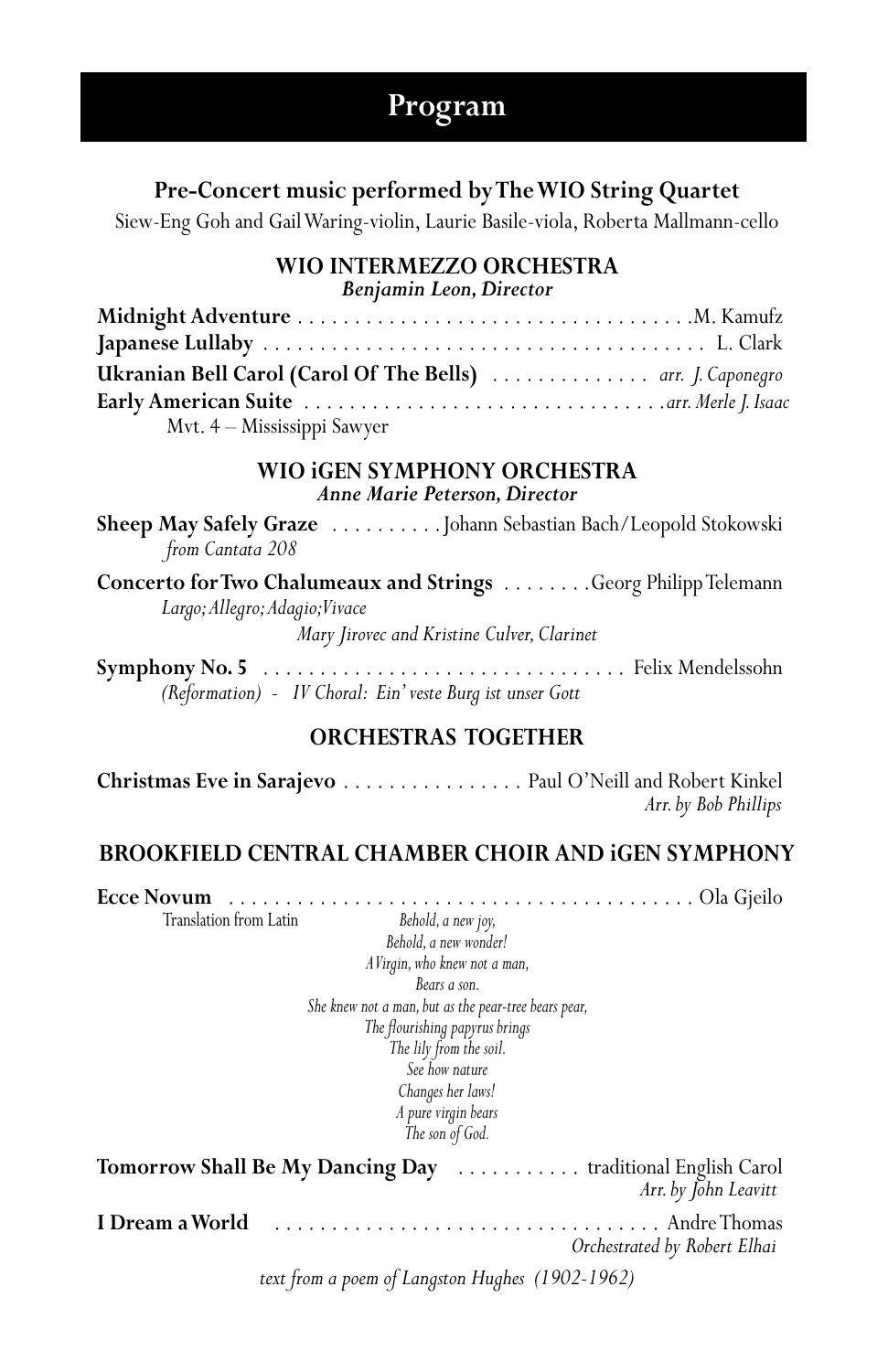# **Program**

#### **Pre-Concert music performed by The WIO String Quartet**

Siew-Eng Goh and Gail Waring-violin, Laurie Basile-viola, Roberta Mallmann-cello

# **WIO INTERMEZZO ORCHESTRA**

*Benjamin Leon, Director*

| Ukranian Bell Carol (Carol Of The Bells)  arr. J. Caponegro |  |
|-------------------------------------------------------------|--|
|                                                             |  |
| Mvt. 4 - Mississippi Sawyer                                 |  |

#### **WIO iGEN SYMPHONY ORCHESTRA** *Anne Marie Peterson, Director*

**Sheep May Safely Graze** ..........Johann Sebastian Bach/Leopold Stokowski  *from Cantata 208*

**Concerto for Two Chalumeaux and Strings** . . . . . . . . . Georg Philipp Telemann  *Largo; Allegro; Adagio; Vivace* 

*Mary Jirovec and Kristine Culver, Clarinet*

**Symphony No. 5** . . Felix Mendelssohn *(Reformation) - IV Choral: Ein' veste Burg ist unser Gott*

#### **ORCHESTRAS TOGETHER**

Christmas Eve in Sarajevo . . . . . . . . . . . . . . . Paul O'Neill and Robert Kinkel  *Arr. by Bob Phillips*

### **BROOKFIELD CENTRAL CHAMBER CHOIR AND iGEN SYMPHONY**

**Ecce Novum** . . Ola Gjeilo Behold, a new joy, *Behold, a new wonder! A Virgin, who knew not a man, Bears a son. She knew not a man, but as the pear-tree bears pear, The flourishing papyrus brings The lily from the soil. See how nature Changes her laws! A pure virgin bears The son of God.* Tomorrow Shall Be My Dancing Day ........... traditional English Carol  *Arr. by John Leavitt* **I Dream a World** . . Andre Thomas  *Orchestrated by Robert Elhai*

*text from a poem of Langston Hughes (1902-1962)*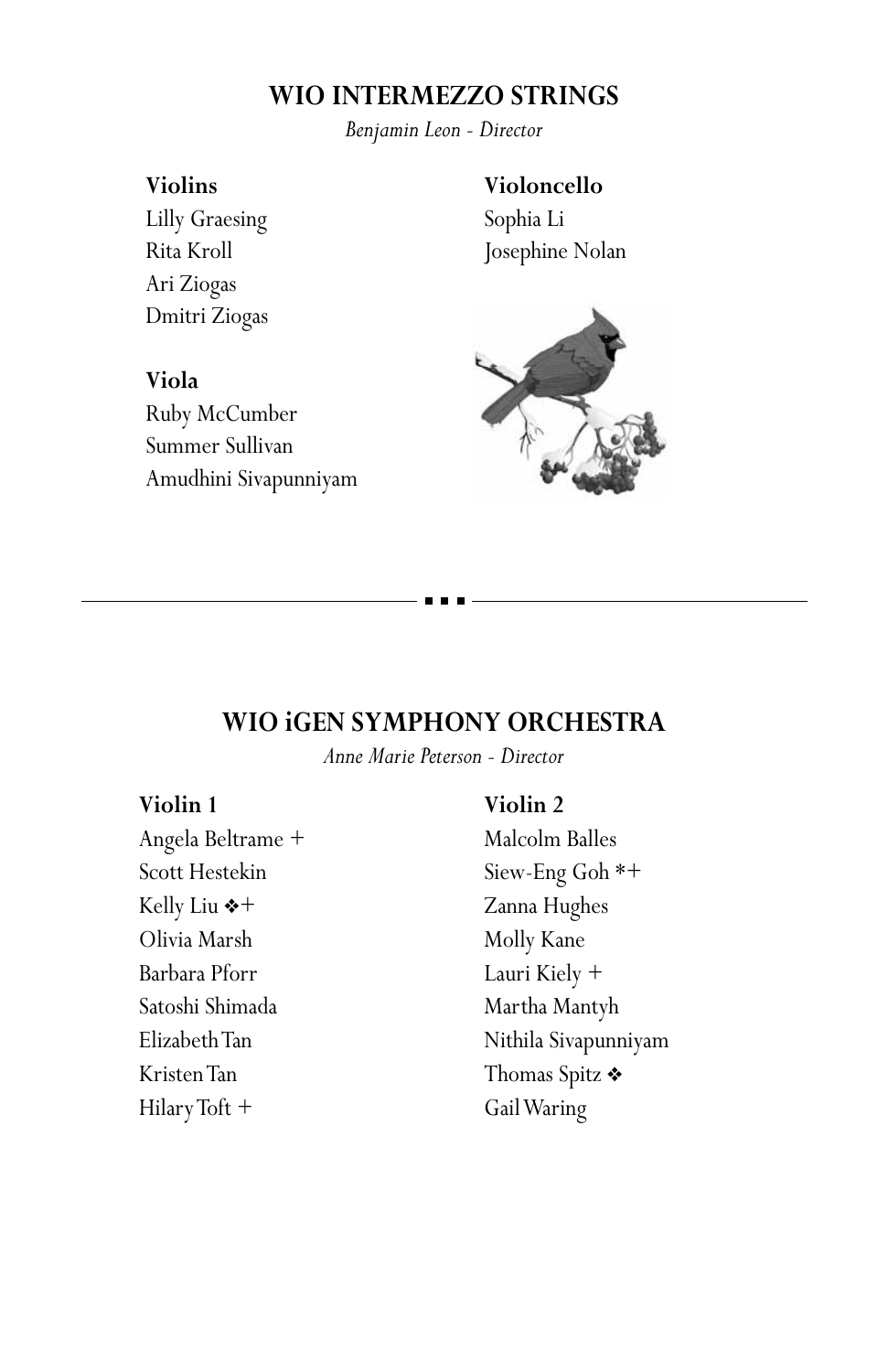## **WIO INTERMEZZO STRINGS**

*Benjamin Leon - Director*

#### **Violins**

Lilly Graesing Rita Kroll Ari Ziogas Dmitri Ziogas

#### **Violoncello**

Sophia Li Josephine Nolan



# **Viola** Ruby McCumber Summer Sullivan Amudhini Sivapunniyam

## **WIO iGEN SYMPHONY ORCHESTRA**

*Anne Marie Peterson - Director*

#### **Violin 1**

Angela Beltrame + Scott Hestekin Kelly Liu  $*+$ Olivia Marsh Barbara Pforr Satoshi Shimada Elizabeth Tan Kristen Tan Hilary Toft +

#### **Violin 2**

Malcolm Balles Siew-Eng Goh \*+ Zanna Hughes Molly Kane Lauri Kiely + Martha Mantyh Nithila Sivapunniyam Thomas Spitz  $\triangleleft$ Gail Waring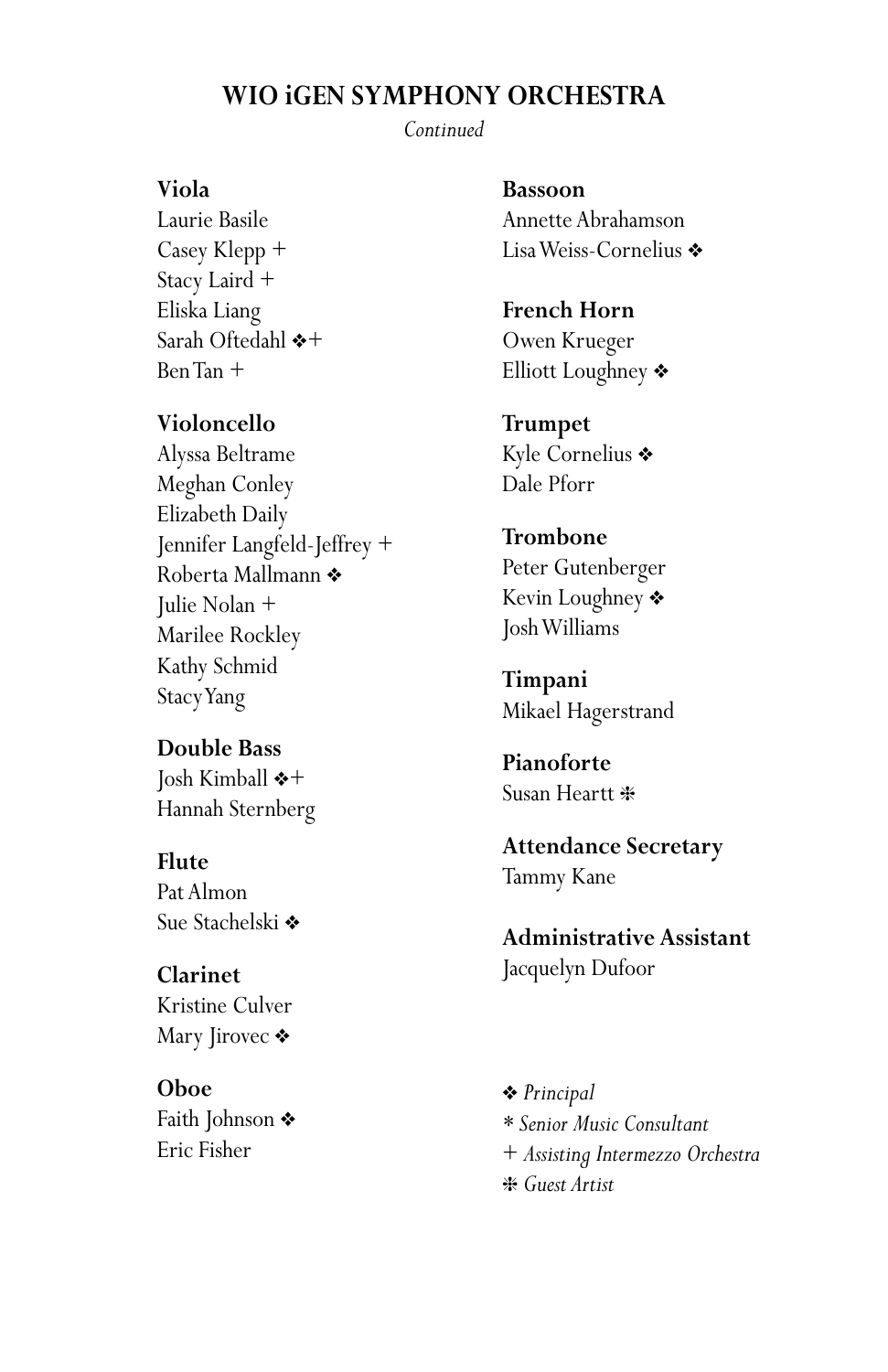## **WIO iGEN SYMPHONY ORCHESTRA**

*Continued*

#### **Viola**

Laurie Basile Casey Klepp + Stacy Laird + Eliska Liang Sarah Oftedahl  $*+$ Ben Tan +

#### **Violoncello**

Alyssa Beltrame Meghan Conley Elizabeth Daily Jennifer Langfeld-Jeffrey + Roberta Mallmann ❖ Julie Nolan + Marilee Rockley Kathy Schmid Stacy Yang

**Double Bass** Josh Kimball  $\diamond$ + Hannah Sternberg

**Flute** Pat Almon Sue Stachelski ◆

**Clarinet** Kristine Culver Mary Jirovec  $\triangleleft$ 

**Oboe** Faith Johnson  $\bullet$ Eric Fisher

**Bassoon** Annette Abrahamson Lisa Weiss-Cornelius ◆

**French Horn** Owen Krueger Elliott Loughney  $\clubsuit$ 

**Trumpet** Kyle Cornelius \* Dale Pforr

#### **Trombone**

Peter Gutenberger Kevin Loughney  $\clubsuit$ Josh Williams

**Timpani** Mikael Hagerstrand

**Pianoforte** Susan Heartt \*

**Attendance Secretary** Tammy Kane

**Administrative Assistant** Jacquelyn Dufoor

v *Principal \* Senior Music Consultant* + *Assisting Intermezzo Orchestra* h *Guest Artist*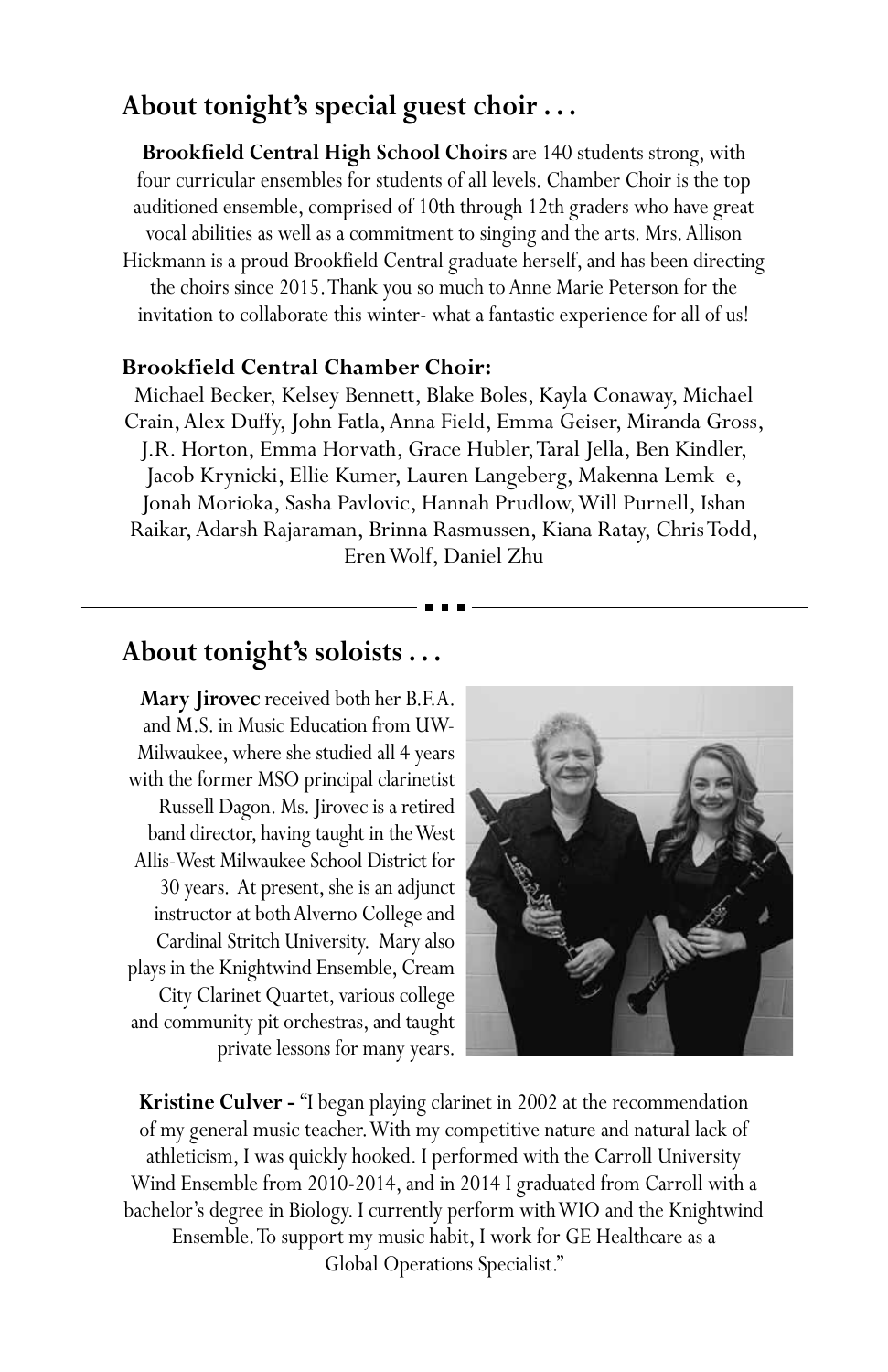# **About tonight's special guest choir . . .**

**Brookfield Central High School Choirs** are 140 students strong, with four curricular ensembles for students of all levels. Chamber Choir is the top auditioned ensemble, comprised of 10th through 12th graders who have great vocal abilities as well as a commitment to singing and the arts. Mrs. Allison Hickmann is a proud Brookfield Central graduate herself, and has been directing the choirs since 2015. Thank you so much to Anne Marie Peterson for the invitation to collaborate this winter- what a fantastic experience for all of us!

#### **Brookfield Central Chamber Choir:**

Michael Becker, Kelsey Bennett, Blake Boles, Kayla Conaway, Michael Crain, Alex Duffy, John Fatla, Anna Field, Emma Geiser, Miranda Gross, J.R. Horton, Emma Horvath, Grace Hubler, Taral Jella, Ben Kindler, Jacob Krynicki, Ellie Kumer, Lauren Langeberg, Makenna Lemk e, Jonah Morioka, Sasha Pavlovic, Hannah Prudlow, Will Purnell, Ishan Raikar, Adarsh Rajaraman, Brinna Rasmussen, Kiana Ratay, Chris Todd, Eren Wolf, Daniel Zhu

## **About tonight's soloists . . .**

**Mary Jirovec** received both her B.F.A. and M.S. in Music Education from UW-Milwaukee, where she studied all 4 years with the former MSO principal clarinetist Russell Dagon. Ms. Jirovec is a retired band director, having taught in the West Allis-West Milwaukee School District for 30 years. At present, she is an adjunct instructor at both Alverno College and Cardinal Stritch University. Mary also plays in the Knightwind Ensemble, Cream City Clarinet Quartet, various college and community pit orchestras, and taught private lessons for many years.



**Kristine Culver -** "I began playing clarinet in 2002 at the recommendation of my general music teacher. With my competitive nature and natural lack of athleticism, I was quickly hooked. I performed with the Carroll University Wind Ensemble from 2010-2014, and in 2014 I graduated from Carroll with a bachelor's degree in Biology. I currently perform with WIO and the Knightwind Ensemble. To support my music habit, I work for GE Healthcare as a Global Operations Specialist."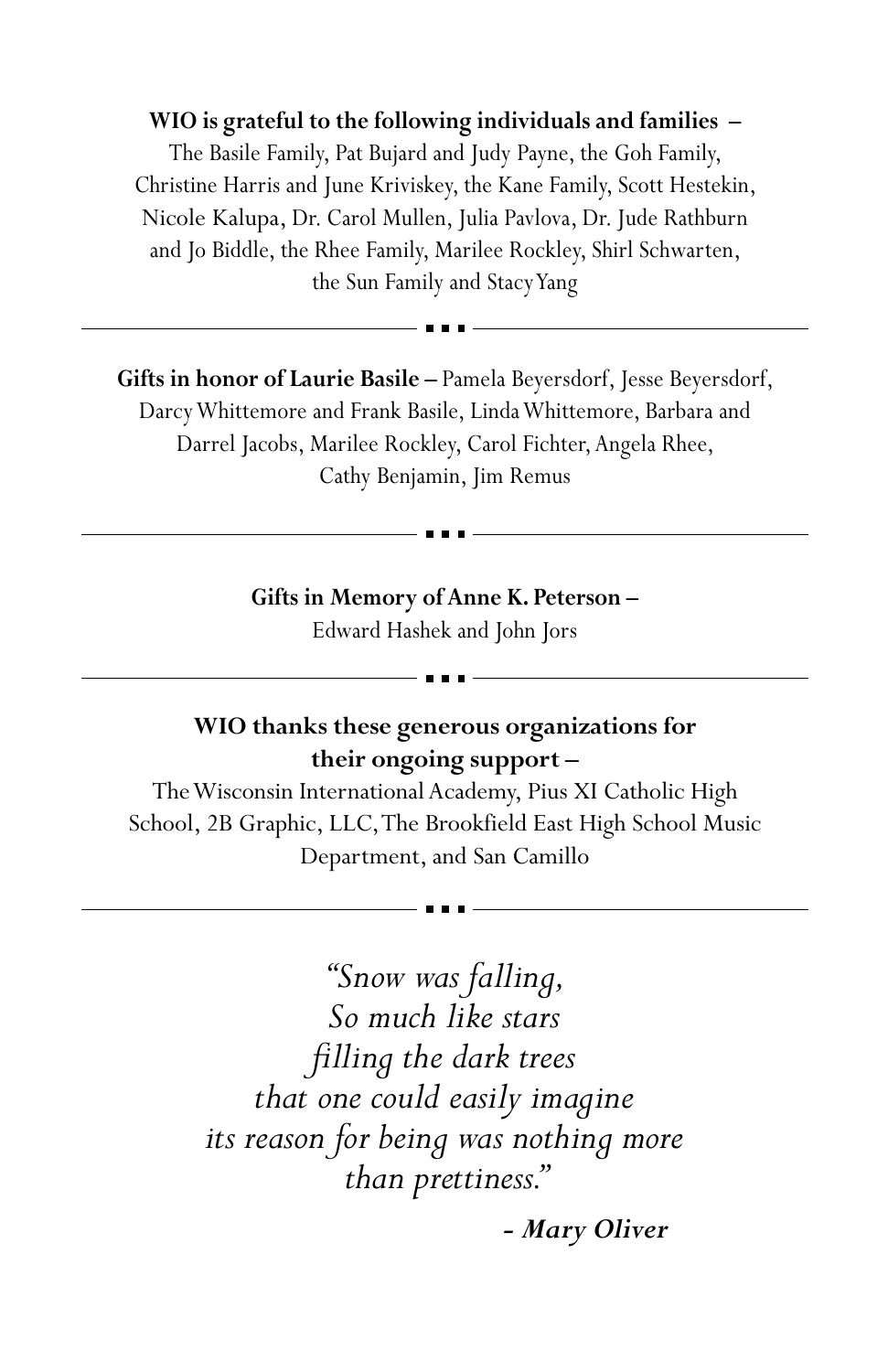**WIO is grateful to the following individuals and families –** The Basile Family, Pat Bujard and Judy Payne, the Goh Family, Christine Harris and June Kriviskey, the Kane Family, Scott Hestekin, Nicole Kalupa, Dr. Carol Mullen, Julia Pavlova, Dr. Jude Rathburn and Jo Biddle, the Rhee Family, Marilee Rockley, Shirl Schwarten, the Sun Family and Stacy Yang

**Gifts in honor of Laurie Basile –** Pamela Beyersdorf, Jesse Beyersdorf, Darcy Whittemore and Frank Basile, Linda Whittemore, Barbara and Darrel Jacobs, Marilee Rockley, Carol Fichter, Angela Rhee, Cathy Benjamin, Jim Remus

> **Gifts in Memory of Anne K. Peterson –** Edward Hashek and John Jors

## **WIO thanks these generous organizations for their ongoing support –**

The Wisconsin International Academy, Pius XI Catholic High School, 2B Graphic, LLC, The Brookfield East High School Music Department, and San Camillo

> *"Snow was falling, So much like stars filling the dark trees that one could easily imagine its reason for being was nothing more than prettiness."*

> > *- Mary Oliver*